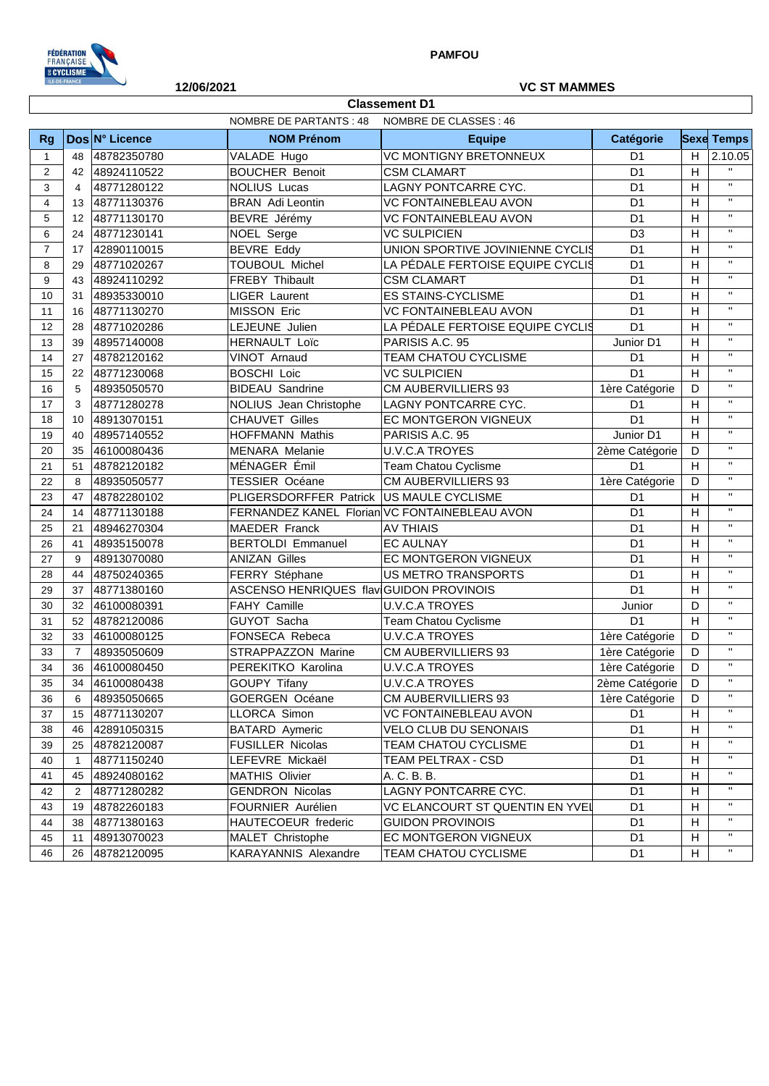

 $\overline{\phantom{a}}$ 

## **12/06/2021 VC ST MAMMES**

ן

| <b>Classement D1</b> |                                                   |                |                                               |                                  |                |                |                   |
|----------------------|---------------------------------------------------|----------------|-----------------------------------------------|----------------------------------|----------------|----------------|-------------------|
|                      | NOMBRE DE PARTANTS : 48<br>NOMBRE DE CLASSES : 46 |                |                                               |                                  |                |                |                   |
| <b>Rg</b>            |                                                   | Dos N° Licence | <b>NOM Prénom</b>                             | <b>Equipe</b>                    | Catégorie      |                | <b>Sexe Temps</b> |
| $\mathbf{1}$         | 48                                                | 48782350780    | VALADE Hugo                                   | <b>VC MONTIGNY BRETONNEUX</b>    | D <sub>1</sub> | H              | 2.10.05           |
| 2                    | 42                                                | 48924110522    | <b>BOUCHER Benoit</b>                         | <b>CSM CLAMART</b>               | D <sub>1</sub> | H              | $\mathbf{H}$      |
| 3                    | $\overline{4}$                                    | 48771280122    | <b>NOLIUS Lucas</b>                           | LAGNY PONTCARRE CYC.             | D <sub>1</sub> | H              | $\mathbf{u}$      |
| $\overline{4}$       | 13                                                | 48771130376    | <b>BRAN</b> Adi Leontin                       | <b>VC FONTAINEBLEAU AVON</b>     | D <sub>1</sub> | H              | $\mathbf{H}$      |
| 5                    | 12                                                | 48771130170    | BEVRE Jérémy                                  | <b>VC FONTAINEBLEAU AVON</b>     | D <sub>1</sub> | H              | $\mathbf{H}$      |
| 6                    | 24                                                | 48771230141    | NOEL Serge                                    | <b>VC SULPICIEN</b>              | D <sub>3</sub> | H              | $\mathbf{H}$      |
| $\overline{7}$       | 17                                                | 42890110015    | <b>BEVRE Eddy</b>                             | UNION SPORTIVE JOVINIENNE CYCLIS | D <sub>1</sub> | H              | $\mathbf{H}$      |
| 8                    | 29                                                | 48771020267    | <b>TOUBOUL Michel</b>                         | LA PÉDALE FERTOISE EQUIPE CYCLIS | D <sub>1</sub> | H              | $\mathbf{H}$      |
| 9                    | 43                                                | 48924110292    | FREBY Thibault                                | <b>CSM CLAMART</b>               | D <sub>1</sub> | H              | $\mathbf{H}$      |
| 10                   | 31                                                | 48935330010    | <b>LIGER Laurent</b>                          | <b>ES STAINS-CYCLISME</b>        | D <sub>1</sub> | $\overline{H}$ | $\mathbf{H}$      |
| 11                   | 16                                                | 48771130270    | <b>MISSON Eric</b>                            | <b>VC FONTAINEBLEAU AVON</b>     | D <sub>1</sub> | H              | $\mathbf{H}$      |
| 12                   | 28                                                | 48771020286    | LEJEUNE Julien                                | LA PÉDALE FERTOISE EQUIPE CYCLIS | D <sub>1</sub> | H              | $\mathbf{H}$      |
| 13                   | 39                                                | 48957140008    | <b>HERNAULT Loïc</b>                          | PARISIS A.C. 95                  | Junior D1      | H              | $\mathbf{H}$      |
| 14                   | 27                                                | 48782120162    | VINOT Arnaud                                  | TEAM CHATOU CYCLISME             | D <sub>1</sub> | H              | $\mathbf{H}$      |
| 15                   | 22                                                | 48771230068    | <b>BOSCHI Loic</b>                            | <b>VC SULPICIEN</b>              | D <sub>1</sub> | H              | $\mathbf{H}$      |
| 16                   | 5                                                 | 48935050570    | <b>BIDEAU Sandrine</b>                        | CM AUBERVILLIERS 93              | 1ère Catégorie | D              | $\mathbf{H}$      |
| 17                   | 3                                                 | 48771280278    | NOLIUS Jean Christophe                        | LAGNY PONTCARRE CYC.             | D <sub>1</sub> | H              | $\mathbf{H}$      |
| 18                   | 10                                                | 48913070151    | <b>CHAUVET Gilles</b>                         | EC MONTGERON VIGNEUX             | D <sub>1</sub> | $\overline{H}$ | $\mathbf{u}$      |
| 19                   | 40                                                | 48957140552    | HOFFMANN Mathis                               | PARISIS A.C. 95                  | Junior D1      | H              | $\mathbf{H}$      |
| 20                   | 35                                                | 46100080436    | <b>MENARA</b> Melanie                         | <b>U.V.C.A TROYES</b>            | 2ème Catégorie | D              | $\mathbf{H}$      |
| 21                   | 51                                                | 48782120182    | MÉNAGER Émil                                  | <b>Team Chatou Cyclisme</b>      | D <sub>1</sub> | H              | $\mathbf{u}$      |
| 22                   | 8                                                 | 48935050577    | <b>TESSIER Océane</b>                         | CM AUBERVILLIERS 93              | 1ère Catégorie | D              | $\mathbf{H}$      |
| 23                   | 47                                                | 48782280102    | PLIGERSDORFFER Patrick US MAULE CYCLISME      |                                  | D <sub>1</sub> | H              | $\mathbf{H}$      |
| 24                   | 14                                                | 48771130188    | FERNANDEZ KANEL Florian VC FONTAINEBLEAU AVON |                                  | D <sub>1</sub> | H              | $\mathbf{u}$      |
| 25                   | 21                                                | 48946270304    | <b>MAEDER Franck</b>                          | <b>AV THIAIS</b>                 | D <sub>1</sub> | H              | $\mathbf{H}$      |
| 26                   | 41                                                | 48935150078    | <b>BERTOLDI Emmanuel</b>                      | <b>EC AULNAY</b>                 | D <sub>1</sub> | $\overline{H}$ | $\mathbf{H}$      |
| 27                   | 9                                                 | 48913070080    | <b>ANIZAN Gilles</b>                          | EC MONTGERON VIGNEUX             | D <sub>1</sub> | H              | $\mathbf{u}$      |
| 28                   | 44                                                | 48750240365    | FERRY Stéphane                                | <b>US METRO TRANSPORTS</b>       | D <sub>1</sub> | H              | $\mathbf{H}$      |
| 29                   | 37                                                | 48771380160    | ASCENSO HENRIQUES flav GUIDON PROVINOIS       |                                  | D <sub>1</sub> | $\overline{H}$ | $\mathbf{H}$      |
| 30                   | 32                                                | 46100080391    | FAHY Camille                                  | <b>U.V.C.A TROYES</b>            | Junior         | D              | $\mathbf{u}$      |
| 31                   | 52                                                | 48782120086    | GUYOT Sacha                                   | Team Chatou Cyclisme             | D <sub>1</sub> | H              | $\mathbf{H}$      |
| 32                   | 33                                                | 46100080125    | FONSECA Rebeca                                | <b>U.V.C.A TROYES</b>            | 1ère Catégorie | D              | $\mathbf{H}$      |
| 33                   | $\overline{7}$                                    | 48935050609    | STRAPPAZZON Marine                            | <b>CM AUBERVILLIERS 93</b>       | 1ère Catégorie | D              | $\mathbf{H}$      |
| 34                   | 36                                                | 46100080450    | PEREKITKO Karolina                            | <b>U.V.C.A TROYES</b>            | 1ère Catégorie | D              | $\mathbf{H}$      |
| 35                   | 34                                                | 46100080438    | <b>GOUPY Tifany</b>                           | <b>U.V.C.A TROYES</b>            | 2ème Catégorie | D              | $\mathbf{H}$      |
| 36                   | 6                                                 | 48935050665    | <b>GOERGEN Océane</b>                         | CM AUBERVILLIERS 93              | 1ère Catégorie | D              | $\mathbf{H}$      |
| 37                   | 15                                                | 48771130207    | LLORCA Simon                                  | VC FONTAINEBLEAU AVON            | D <sub>1</sub> | H              | $\mathbf{H}$      |
| 38                   | 46                                                | 42891050315    | <b>BATARD Aymeric</b>                         | VELO CLUB DU SENONAIS            | D <sub>1</sub> | H              | $\mathbf{H}$      |
| 39                   | 25                                                | 48782120087    | <b>FUSILLER Nicolas</b>                       | TEAM CHATOU CYCLISME             | D <sub>1</sub> | H              | $\mathbf{H}$      |
| 40                   | $\mathbf{1}$                                      | 48771150240    | LEFEVRE Mickaël                               | TEAM PELTRAX - CSD               | D <sub>1</sub> | H              | $\mathbf{H}$      |
| 41                   | 45                                                | 48924080162    | <b>MATHIS Olivier</b>                         | A. C. B. B.                      | D <sub>1</sub> | H              | $\mathbf{H}$      |
| 42                   | $\overline{2}$                                    | 48771280282    | <b>GENDRON Nicolas</b>                        | LAGNY PONTCARRE CYC.             | D <sub>1</sub> | H              | $\mathbf{H}$      |
| 43                   | 19                                                | 48782260183    | FOURNIER Aurélien                             | VC ELANCOURT ST QUENTIN EN YVEI  | D <sub>1</sub> | H              | $\mathbf{H}$      |
| 44                   | 38                                                | 48771380163    | HAUTECOEUR frederic                           | <b>GUIDON PROVINOIS</b>          | D <sub>1</sub> | H              | $\mathbf{H}$      |
| 45                   | 11                                                | 48913070023    | MALET Christophe                              | EC MONTGERON VIGNEUX             | D <sub>1</sub> | H              | $\mathbf{H}$      |
| 46                   | 26                                                | 48782120095    | <b>KARAYANNIS Alexandre</b>                   | TEAM CHATOU CYCLISME             | D <sub>1</sub> | H.             | $\mathbf{H}$      |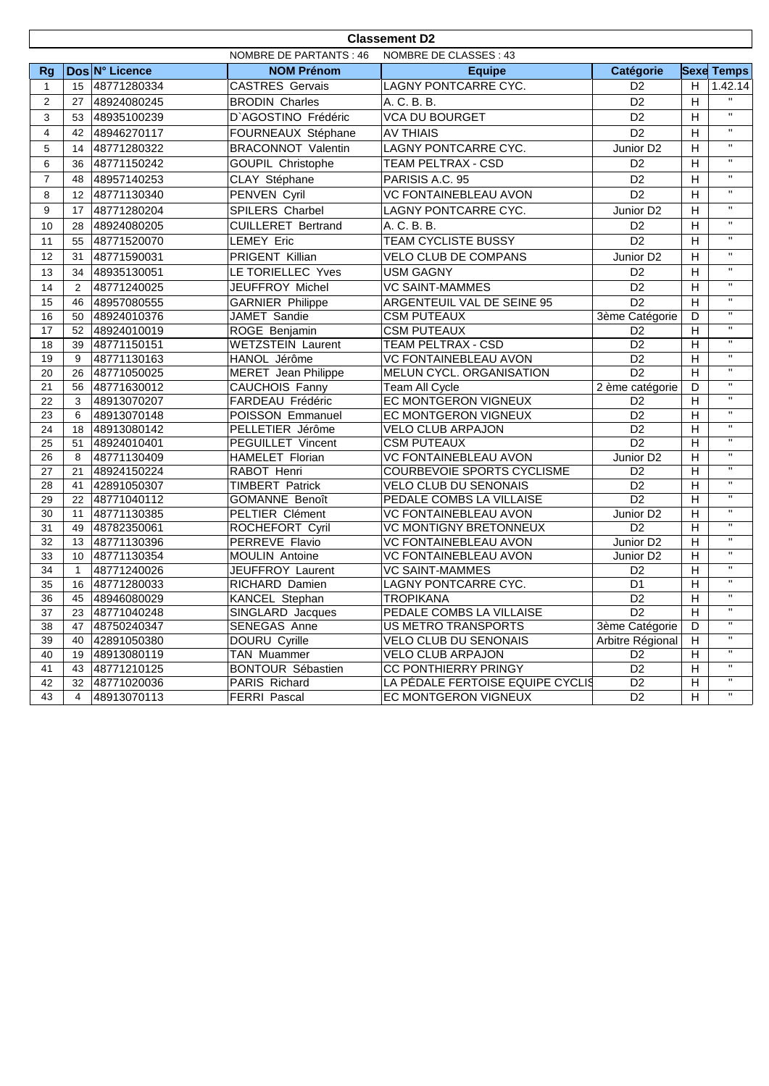|                | <b>Classement D2</b>                              |                            |                                    |                                                               |                                                |                |                              |  |
|----------------|---------------------------------------------------|----------------------------|------------------------------------|---------------------------------------------------------------|------------------------------------------------|----------------|------------------------------|--|
|                | NOMBRE DE CLASSES : 43<br>NOMBRE DE PARTANTS : 46 |                            |                                    |                                                               |                                                |                |                              |  |
| <b>Rg</b>      |                                                   | Dos N° Licence             | <b>NOM Prénom</b>                  | <b>Equipe</b>                                                 | Catégorie                                      |                | <b>Sexe Temps</b>            |  |
| 1              | 15                                                | 48771280334                | <b>CASTRES Gervais</b>             | LAGNY PONTCARRE CYC.                                          | D <sub>2</sub>                                 | H.             | 1.42.14                      |  |
| 2              | 27                                                | 48924080245                | <b>BRODIN Charles</b>              | A. C. B. B.                                                   | D <sub>2</sub>                                 | H              | $\mathbf{H}$                 |  |
| 3              | 53                                                | 48935100239                | D'AGOSTINO Frédéric                | <b>VCA DU BOURGET</b>                                         | D <sub>2</sub>                                 | H              | $\mathbf{u}$                 |  |
| 4              | 42                                                | 48946270117                | FOURNEAUX Stéphane                 | <b>AV THIAIS</b>                                              | D <sub>2</sub>                                 | H              | $\mathbf{H}$                 |  |
| 5              | 14                                                | 48771280322                | <b>BRACONNOT Valentin</b>          | LAGNY PONTCARRE CYC.                                          | Junior D2                                      | H              | $\mathbf{H}$                 |  |
| 6              | 36                                                | 48771150242                | GOUPIL Christophe                  | TEAM PELTRAX - CSD                                            | D <sub>2</sub>                                 | H              | $\mathbf{H}$                 |  |
| $\overline{7}$ | 48                                                | 48957140253                | CLAY Stéphane                      | PARISIS A.C. 95                                               | D <sub>2</sub>                                 | H              | $\mathbf{H}$                 |  |
| 8              | 12 <sup>2</sup>                                   | 48771130340                | PENVEN Cyril                       | <b>VC FONTAINEBLEAU AVON</b>                                  | D <sub>2</sub>                                 | H              | $\mathbf{H}$                 |  |
| 9              | 17                                                | 48771280204                | SPILERS Charbel                    | LAGNY PONTCARRE CYC.                                          | Junior D <sub>2</sub>                          | H              | $\mathbf{H}$                 |  |
| 10             | 28                                                | 48924080205                | <b>CUILLERET Bertrand</b>          | A. C. B. B.                                                   | D <sub>2</sub>                                 | H              | $\mathbf{H}$                 |  |
| 11             | 55                                                | 48771520070                | <b>LEMEY Eric</b>                  | TEAM CYCLISTE BUSSY                                           | D <sub>2</sub>                                 | H              | $\mathbf{H}$                 |  |
| 12             | 31                                                | 48771590031                | PRIGENT Killian                    | VELO CLUB DE COMPANS                                          | Junior D <sub>2</sub>                          | H              | $\mathbf{H}$                 |  |
| 13             | 34                                                | 48935130051                | LE TORIELLEC Yves                  | <b>USM GAGNY</b>                                              | D <sub>2</sub>                                 | H              | $\mathbf{H}$                 |  |
| 14             | 2                                                 | 48771240025                | JEUFFROY Michel                    | <b>VC SAINT-MAMMES</b>                                        | D <sub>2</sub>                                 | H              | $\mathbf{H}$                 |  |
| 15             | 46                                                | 48957080555                | <b>GARNIER Philippe</b>            | ARGENTEUIL VAL DE SEINE 95                                    | $\overline{D2}$                                | $\overline{H}$ | $\mathbf{H}$                 |  |
| 16             | 50                                                | 48924010376                | JAMET Sandie                       | <b>CSM PUTEAUX</b>                                            | 3ème Catégorie                                 | D              | $\mathbf{H}$                 |  |
| 17             | 52                                                | 48924010019                | ROGE Benjamin                      | <b>CSM PUTEAUX</b>                                            | D <sub>2</sub>                                 | Н              | $\mathbf{H}$                 |  |
| 18             | 39                                                | 48771150151                | <b>WETZSTEIN Laurent</b>           | TEAM PELTRAX - CSD                                            | D <sub>2</sub>                                 | $\overline{H}$ | $\mathbf{H}$                 |  |
| 19             | 9                                                 | 48771130163                | HANOL Jérôme                       | <b>VC FONTAINEBLEAU AVON</b>                                  | $\overline{D2}$                                | $\overline{H}$ | $\mathbf{H}$                 |  |
| 20             | 26                                                | 48771050025                | <b>MERET</b> Jean Philippe         | MELUN CYCL. ORGANISATION                                      | D <sub>2</sub>                                 | $\overline{H}$ | $\mathbf{H}$                 |  |
| 21             | 56                                                | 48771630012                | <b>CAUCHOIS Fanny</b>              | Team All Cycle                                                | 2 ème catégorie                                | D              | $\mathbf{H}$                 |  |
| 22             | 3                                                 | 48913070207                | FARDEAU Frédéric                   | <b>EC MONTGERON VIGNEUX</b>                                   | D <sub>2</sub>                                 | H              | $\overline{\mathbf{u}}$      |  |
| 23             | 6                                                 | 48913070148                | POISSON Emmanuel                   | EC MONTGERON VIGNEUX                                          | D <sub>2</sub>                                 | H              | $\mathbf{H}$                 |  |
| 24             | 18                                                | 48913080142                | PELLETIER Jérôme                   | <b>VELO CLUB ARPAJON</b>                                      | D2                                             | $\overline{H}$ | $\mathbf{H}$                 |  |
| 25             | 51                                                | 48924010401                | PEGUILLET Vincent                  | <b>CSM PUTEAUX</b>                                            | $\overline{D2}$                                | $\overline{H}$ | $\mathbf{H}$                 |  |
| 26             | 8                                                 | 48771130409                | HAMELET Florian                    | <b>VC FONTAINEBLEAU AVON</b>                                  | Junior D <sub>2</sub>                          | H              | $\mathbf{H}$                 |  |
| 27             | 21                                                | 48924150224                | RABOT Henri                        | COURBEVOIE SPORTS CYCLISME                                    | D <sub>2</sub>                                 | H              | $\mathbf{H}$                 |  |
| 28             | 41                                                | 42891050307                | <b>TIMBERT Patrick</b>             | VELO CLUB DU SENONAIS                                         | D <sub>2</sub>                                 | Н              | $\mathbf{H}$                 |  |
| 29             | 22                                                | 48771040112                | <b>GOMANNE Benoît</b>              | PEDALE COMBS LA VILLAISE                                      | D <sub>2</sub>                                 | $\overline{H}$ | $\mathbf{H}$<br>$\mathbf{H}$ |  |
| 30             | 11                                                | 48771130385                | PELTIER Clément                    | VC FONTAINEBLEAU AVON                                         | Junior D <sub>2</sub>                          | $\overline{H}$ | $\mathbf{H}$                 |  |
| 31             | 49                                                | 48782350061                | ROCHEFORT Cyril                    | <b>VC MONTIGNY BRETONNEUX</b><br><b>VC FONTAINEBLEAU AVON</b> | D <sub>2</sub>                                 | $\overline{H}$ | $\mathbf{H}$                 |  |
| 32<br>33       | 13<br>10                                          | 48771130396<br>48771130354 | PERREVE Flavio                     | <b>VC FONTAINEBLEAU AVON</b>                                  | Junior D <sub>2</sub><br>Junior D <sub>2</sub> | H<br>H         | $\mathbf{H}$                 |  |
| 34             | $\mathbf{1}$                                      | 48771240026                | MOULIN Antoine<br>JEUFFROY Laurent | <b>VC SAINT-MAMMES</b>                                        | D <sub>2</sub>                                 | H              | $\mathbf{H}$                 |  |
| 35             | 16                                                | 48771280033                | RICHARD Damien                     | LAGNY PONTCARRE CYC.                                          | D <sub>1</sub>                                 | $\overline{H}$ | $\mathbf{H}$                 |  |
| 36             | 45                                                | 48946080029                | <b>KANCEL Stephan</b>              | <b>TROPIKANA</b>                                              | D <sub>2</sub>                                 | H              | $\mathbf{H}$                 |  |
| 37             | 23                                                | 48771040248                | SINGLARD Jacques                   | PEDALE COMBS LA VILLAISE                                      | D <sub>2</sub>                                 | H              | $\mathbf{H}$                 |  |
| 38             | 47                                                | 48750240347                | <b>SENEGAS Anne</b>                | <b>US METRO TRANSPORTS</b>                                    | 3ème Catégorie                                 | D              | $\mathbf{H}$                 |  |
| 39             | 40                                                | 42891050380                | DOURU Cyrille                      | VELO CLUB DU SENONAIS                                         | Arbitre Régional                               | H              | $\mathbf{H}$                 |  |
| 40             | 19                                                | 48913080119                | TAN Muammer                        | <b>VELO CLUB ARPAJON</b>                                      | D <sub>2</sub>                                 | H              |                              |  |
| 41             | 43                                                | 48771210125                | <b>BONTOUR Sébastien</b>           | CC PONTHIERRY PRINGY                                          | D <sub>2</sub>                                 | H              | $\mathbf{H}$                 |  |
| 42             | 32                                                | 48771020036                | PARIS Richard                      | LA PÉDALE FERTOISE EQUIPE CYCLIS                              | D <sub>2</sub>                                 | H              | $\mathbf{H}$                 |  |
| 43             | $\overline{4}$                                    | 48913070113                | FERRI Pascal                       | EC MONTGERON VIGNEUX                                          | D <sub>2</sub>                                 | H              | $\mathbf{H}$                 |  |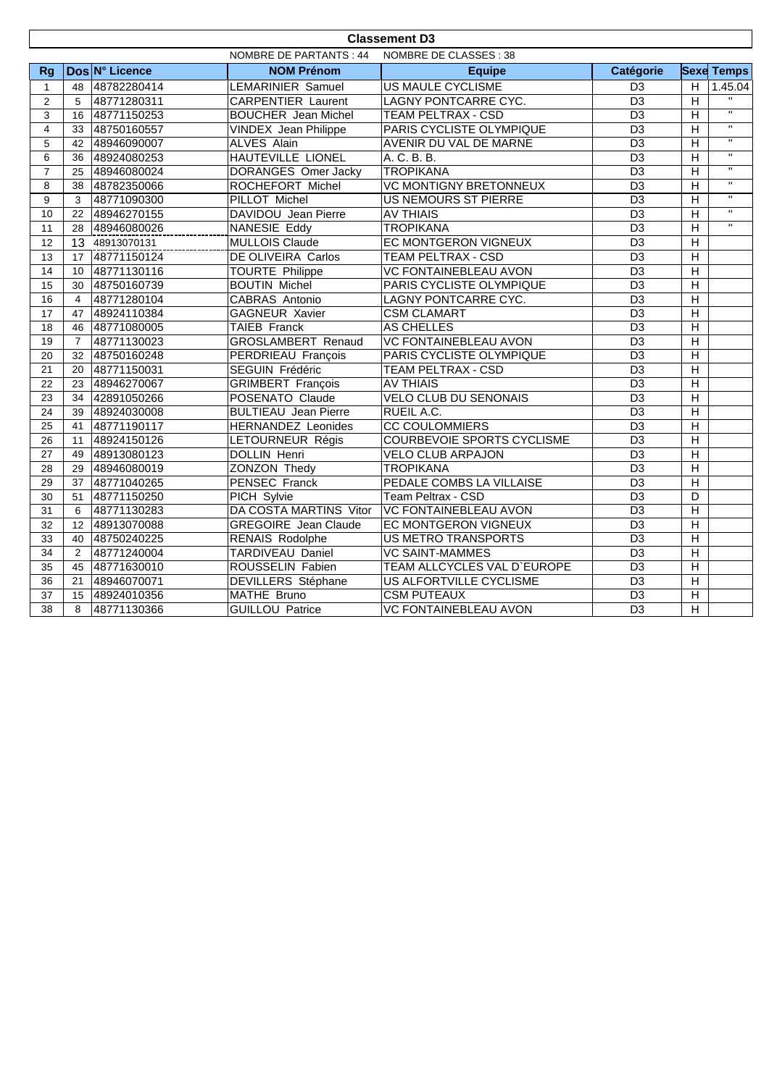| <b>Classement D3</b>    |                                                  |                |                             |                                              |                 |                         |                         |
|-------------------------|--------------------------------------------------|----------------|-----------------------------|----------------------------------------------|-----------------|-------------------------|-------------------------|
|                         | NOMBRE DE PARTANTS : 44<br>NOMBRE DE CLASSES: 38 |                |                             |                                              |                 |                         |                         |
| <b>Rg</b>               |                                                  | Dos N° Licence | <b>NOM Prénom</b>           | <b>Equipe</b>                                | Catégorie       |                         | <b>Sexe Temps</b>       |
| $\mathbf{1}$            | 48                                               | 48782280414    | LEMARINIER Samuel           | US MAULE CYCLISME                            | D <sub>3</sub>  | H                       | 1.45.04                 |
| 2                       | 5                                                | 48771280311    | <b>CARPENTIER Laurent</b>   | LAGNY PONTCARRE CYC.                         | D <sub>3</sub>  | H                       |                         |
| 3                       | 16                                               | 48771150253    | <b>BOUCHER</b> Jean Michel  | <b>TEAM PELTRAX - CSD</b>                    | $\overline{D3}$ | $\overline{H}$          | $\overline{u}$          |
| $\overline{\mathbf{4}}$ | 33                                               | 48750160557    | VINDEX Jean Philippe        | PARIS CYCLISTE OLYMPIQUE                     | $\overline{D3}$ | H                       | $\overline{u}$          |
| 5                       | 42                                               | 48946090007    | ALVES Alain                 | AVENIR DU VAL DE MARNE                       | $\overline{D3}$ | $\overline{H}$          | $\overline{u}$          |
| 6                       | 36                                               | 48924080253    | <b>HAUTEVILLE LIONEL</b>    | A. C. B. B.                                  | $\overline{D3}$ | $\overline{H}$          | $\overline{u}$          |
| $\overline{7}$          | 25                                               | 48946080024    | <b>DORANGES Omer Jacky</b>  | <b>TROPIKANA</b>                             | D <sub>3</sub>  | $\overline{H}$          | $\overline{u}$          |
| 8                       | 38                                               | 48782350066    | ROCHEFORT Michel            | <b>VC MONTIGNY BRETONNEUX</b>                | $\overline{D3}$ | $\overline{H}$          | $\overline{\mathbf{u}}$ |
| 9                       | 3                                                | 48771090300    | <b>PILLOT Michel</b>        | <b>US NEMOURS ST PIERRE</b>                  | $\overline{D3}$ | $\overline{H}$          | $\mathbf{H}$            |
| 10                      | 22                                               | 48946270155    | DAVIDOU Jean Pierre         | <b>AV THIAIS</b>                             | D <sub>3</sub>  | $\overline{H}$          | $\overline{u}$          |
| 11                      | 28                                               | 48946080026    | NANESIE Eddy                | <b>TROPIKANA</b>                             | D <sub>3</sub>  | H                       | $\mathbf{H}$            |
| 12                      | 13                                               | 48913070131    | <b>MULLOIS Claude</b>       | EC MONTGERON VIGNEUX                         | D <sub>3</sub>  | $\overline{H}$          |                         |
| 13                      |                                                  | 17 48771150124 | DE OLIVEIRA Carlos          | <b>TEAM PELTRAX - CSD</b>                    | $\overline{D3}$ | $\overline{H}$          |                         |
| 14                      | 10                                               | 48771130116    | <b>TOURTE</b> Philippe      | <b>VC FONTAINEBLEAU AVON</b>                 | $\overline{D3}$ | $\overline{H}$          |                         |
| 15                      | 30                                               | 48750160739    | <b>BOUTIN Michel</b>        | PARIS CYCLISTE OLYMPIQUE                     | $\overline{D3}$ | $\overline{H}$          |                         |
| 16                      | $\overline{4}$                                   | 48771280104    | CABRAS Antonio              | LAGNY PONTCARRE CYC.                         | D <sub>3</sub>  | $\overline{H}$          |                         |
| 17                      | 47                                               | 48924110384    | <b>GAGNEUR Xavier</b>       | <b>CSM CLAMART</b>                           | D <sub>3</sub>  | $\overline{H}$          |                         |
| 18                      | 46                                               | 48771080005    | <b>TAIEB Franck</b>         | <b>AS CHELLES</b>                            | $\overline{D3}$ | $\overline{H}$          |                         |
| 19                      | $\overline{7}$                                   | 48771130023    | GROSLAMBERT Renaud          | <b>VC FONTAINEBLEAU AVON</b>                 | $\overline{D3}$ | $\overline{H}$          |                         |
| 20                      | 32                                               | 48750160248    | PERDRIEAU François          | PARIS CYCLISTE OLYMPIQUE                     | D <sub>3</sub>  | $\overline{H}$          |                         |
| 21                      | 20                                               | 48771150031    | SEGUIN Frédéric             | <b>TEAM PELTRAX - CSD</b>                    | $\overline{D3}$ | $\overline{H}$          |                         |
| $\overline{22}$         | 23                                               | 48946270067    | <b>GRIMBERT François</b>    | <b>AV THIAIS</b>                             | $\overline{D3}$ | $\overline{H}$          |                         |
| 23                      | 34                                               | 42891050266    | POSENATO Claude             | <b>VELO CLUB DU SENONAIS</b>                 | $\overline{D3}$ | $\overline{H}$          |                         |
| 24                      | 39                                               | 48924030008    | <b>BULTIEAU</b> Jean Pierre | RUEIL A.C.                                   | $\overline{D3}$ | $\overline{H}$          |                         |
| 25                      | 41                                               | 48771190117    | <b>HERNANDEZ Leonides</b>   | <b>CC COULOMMIERS</b>                        | D <sub>3</sub>  | $\overline{H}$          |                         |
| 26                      | 11                                               | 48924150126    | LETOURNEUR Régis            | COURBEVOIE SPORTS CYCLISME                   | D <sub>3</sub>  | $\overline{H}$          |                         |
| 27                      | 49                                               | 48913080123    | <b>DOLLIN Henri</b>         | <b>VELO CLUB ARPAJON</b>                     | $\overline{D3}$ | $\overline{\mathsf{H}}$ |                         |
| 28                      | 29                                               | 48946080019    | ZONZON Thedy                | <b>TROPIKANA</b>                             | $\overline{D3}$ | $\overline{H}$          |                         |
| 29                      | 37                                               | 48771040265    | <b>PENSEC Franck</b>        | PEDALE COMBS LA VILLAISE                     | D <sub>3</sub>  | $\overline{H}$          |                         |
| 30                      | 51                                               | 48771150250    | PICH Sylvie                 | Team Peltrax - CSD                           | $\overline{D3}$ | $\overline{D}$          |                         |
| 31                      | 6                                                | 48771130283    |                             | DA COSTA MARTINS Vitor VC FONTAINEBLEAU AVON | $\overline{D3}$ | $\overline{H}$          |                         |
| 32                      | 12                                               | 48913070088    | <b>GREGOIRE</b> Jean Claude | EC MONTGERON VIGNEUX                         | $\overline{D3}$ | $\overline{H}$          |                         |
| 33                      | 40                                               | 48750240225    | <b>RENAIS Rodolphe</b>      | <b>US METRO TRANSPORTS</b>                   | D3              | $\overline{H}$          |                         |
| 34                      | 2                                                | 48771240004    | TARDIVEAU Daniel            | <b>VC SAINT-MAMMES</b>                       | D <sub>3</sub>  | $\overline{H}$          |                         |
| 35                      | 45                                               | 48771630010    | ROUSSELIN Fabien            | TEAM ALLCYCLES VAL D'EUROPE                  | $\overline{D3}$ | $\overline{H}$          |                         |
| 36                      | 21                                               | 48946070071    | DEVILLERS Stéphane          | US ALFORTVILLE CYCLISME                      | $\overline{D3}$ | $\overline{H}$          |                         |
| 37                      | 15                                               | 48924010356    | MATHE Bruno                 | <b>CSM PUTEAUX</b>                           | D <sub>3</sub>  | $\overline{H}$          |                         |
| 38                      | 8                                                | 48771130366    | <b>GUILLOU Patrice</b>      | <b>VC FONTAINEBLEAU AVON</b>                 | D <sub>3</sub>  | $\overline{H}$          |                         |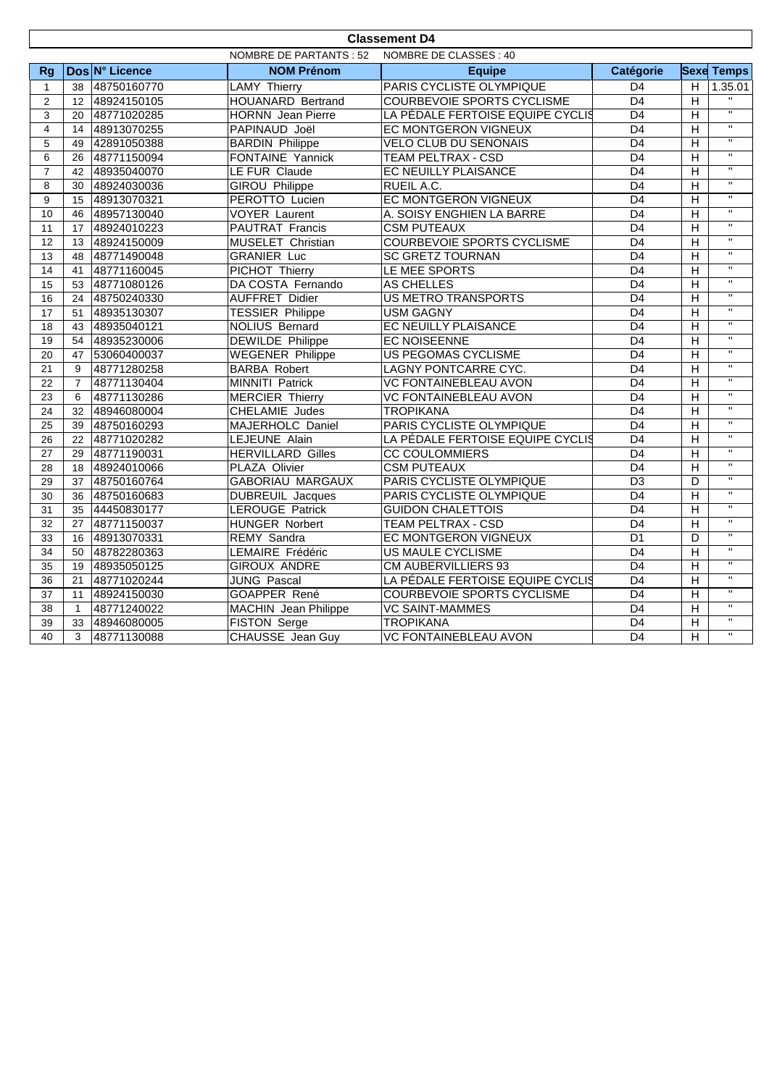| <b>Classement D4</b>    |                                                         |                |                             |                                   |                 |                         |                         |
|-------------------------|---------------------------------------------------------|----------------|-----------------------------|-----------------------------------|-----------------|-------------------------|-------------------------|
|                         | <b>NOMBRE DE PARTANTS: 52</b><br>NOMBRE DE CLASSES : 40 |                |                             |                                   |                 |                         |                         |
| Rq                      |                                                         | Dos N° Licence | <b>NOM Prénom</b>           | <b>Equipe</b>                     | Catégorie       |                         | <b>Sexe Temps</b>       |
| $\mathbf{1}$            | 38                                                      | 48750160770    | <b>LAMY Thierry</b>         | PARIS CYCLISTE OLYMPIQUE          | D <sub>4</sub>  | H                       | 1.35.01                 |
| $\overline{2}$          | 12 <sup>2</sup>                                         | 48924150105    | <b>HOUANARD Bertrand</b>    | <b>COURBEVOIE SPORTS CYCLISME</b> | $\overline{D4}$ | $\overline{H}$          | $\mathbf{H}$            |
| 3                       | 20                                                      | 48771020285    | <b>HORNN</b> Jean Pierre    | LA PÉDALE FERTOISE EQUIPE CYCLIS  | $\overline{D4}$ | $\overline{H}$          | $\overline{u}$          |
| $\overline{\mathbf{4}}$ | 14                                                      | 48913070255    | PAPINAUD Joël               | EC MONTGERON VIGNEUX              | $\overline{D4}$ | $\overline{H}$          | $\overline{u}$          |
| 5                       | 49                                                      | 42891050388    | <b>BARDIN Philippe</b>      | VELO CLUB DU SENONAIS             | $\overline{D4}$ | $\overline{H}$          | $\overline{\mathbf{u}}$ |
| 6                       | 26                                                      | 48771150094    | <b>FONTAINE Yannick</b>     | <b>TEAM PELTRAX - CSD</b>         | D <sub>4</sub>  | H                       | $\mathbf{u}$            |
| $\overline{7}$          | 42                                                      | 48935040070    | LE FUR Claude               | EC NEUILLY PLAISANCE              | D <sub>4</sub>  | H                       | $\overline{u}$          |
| 8                       | 30                                                      | 48924030036    | <b>GIROU Philippe</b>       | RUEIL A.C.                        | $\overline{D4}$ | $\overline{H}$          | $\overline{u}$          |
| 9                       | 15                                                      | 48913070321    | PEROTTO Lucien              | EC MONTGERON VIGNEUX              | D <sub>4</sub>  | $\overline{H}$          | $\overline{\mathbf{u}}$ |
| 10                      | 46                                                      | 48957130040    | <b>VOYER Laurent</b>        | A. SOISY ENGHIEN LA BARRE         | $\overline{D4}$ | $\overline{H}$          | $\overline{u}$          |
| 11                      | 17                                                      | 48924010223    | PAUTRAT Francis             | <b>CSM PUTEAUX</b>                | $\overline{D4}$ | $\overline{H}$          | $\overline{\mathbf{u}}$ |
| $\overline{12}$         | 13                                                      | 48924150009    | MUSELET Christian           | <b>COURBEVOIE SPORTS CYCLISME</b> | $\overline{D4}$ | $\overline{H}$          | $\overline{\mathbf{u}}$ |
| 13                      | 48                                                      | 48771490048    | <b>GRANIER Luc</b>          | <b>SC GRETZ TOURNAN</b>           | D <sub>4</sub>  | $\overline{H}$          | $\overline{u}$          |
| 14                      | 41                                                      | 48771160045    | PICHOT Thierry              | LE MEE SPORTS                     | D <sub>4</sub>  | $\overline{H}$          | $\overline{u}$          |
| 15                      | 53                                                      | 48771080126    | DA COSTA Fernando           | <b>AS CHELLES</b>                 | D4              | $\overline{H}$          | $\overline{u}$          |
| 16                      | 24                                                      | 48750240330    | <b>AUFFRET Didier</b>       | <b>US METRO TRANSPORTS</b>        | D <sub>4</sub>  | $\overline{H}$          | $\mathbf{u}$            |
| 17                      | 51                                                      | 48935130307    | <b>TESSIER Philippe</b>     | <b>USM GAGNY</b>                  | D <sub>4</sub>  | $\overline{H}$          | $\overline{u}$          |
| $\overline{18}$         | 43                                                      | 48935040121    | <b>NOLIUS Bernard</b>       | EC NEUILLY PLAISANCE              | $\overline{D4}$ | $\overline{H}$          | $\overline{\mathbf{u}}$ |
| 19                      | 54                                                      | 48935230006    | <b>DEWILDE Philippe</b>     | <b>EC NOISEENNE</b>               | $\overline{D4}$ | $\overline{H}$          | $\overline{\mathbf{u}}$ |
| 20                      | 47                                                      | 53060400037    | <b>WEGENER Philippe</b>     | <b>US PEGOMAS CYCLISME</b>        | D <sub>4</sub>  | H                       | $\overline{u}$          |
| 21                      | 9                                                       | 48771280258    | <b>BARBA Robert</b>         | LAGNY PONTCARRE CYC.              | D <sub>4</sub>  | $\overline{H}$          | $\overline{\mathbf{u}}$ |
| 22                      | $\overline{7}$                                          | 48771130404    | <b>MINNITI Patrick</b>      | <b>VC FONTAINEBLEAU AVON</b>      | $\overline{D4}$ | $\overline{H}$          | $\mathbf{u}$            |
| 23                      | 6                                                       | 48771130286    | <b>MERCIER Thierry</b>      | <b>VC FONTAINEBLEAU AVON</b>      | $\overline{D4}$ | $\overline{H}$          | $\overline{\mathbf{u}}$ |
| 24                      | 32                                                      | 48946080004    | CHELAMIE Judes              | <b>TROPIKANA</b>                  | D <sub>4</sub>  | H                       | $\overline{\mathbf{u}}$ |
| 25                      | 39                                                      | 48750160293    | MAJERHOLC Daniel            | PARIS CYCLISTE OLYMPIQUE          | D <sub>4</sub>  | $\overline{H}$          | $\overline{u}$          |
| 26                      | 22                                                      | 48771020282    | LEJEUNE Alain               | LA PÉDALE FERTOISE EQUIPE CYCLIS  | $\overline{D4}$ | $\overline{H}$          | $\overline{\mathbf{u}}$ |
| 27                      | 29                                                      | 48771190031    | <b>HERVILLARD Gilles</b>    | <b>CC COULOMMIERS</b>             | D <sub>4</sub>  | $\overline{H}$          | $\overline{\mathbf{u}}$ |
| 28                      | 18                                                      | 48924010066    | PLAZA Olivier               | <b>CSM PUTEAUX</b>                | $\overline{D4}$ | $\overline{H}$          | $\mathbf{H}$            |
| 29                      | 37                                                      | 48750160764    | <b>GABORIAU MARGAUX</b>     | PARIS CYCLISTE OLYMPIQUE          | $\overline{D3}$ | D                       | $\mathbf{H}$            |
| 30                      | 36                                                      | 48750160683    | <b>DUBREUIL Jacques</b>     | PARIS CYCLISTE OLYMPIQUE          | $\overline{D4}$ | $\overline{H}$          | $\overline{u}$          |
| 31                      | 35                                                      | 44450830177    | <b>LEROUGE Patrick</b>      | <b>GUIDON CHALETTOIS</b>          | D <sub>4</sub>  | H                       | $\overline{\mathbf{u}}$ |
| $\overline{32}$         | 27                                                      | 48771150037    | HUNGER Norbert              | <b>TEAM PELTRAX - CSD</b>         | $\overline{D4}$ | $\overline{\mathsf{H}}$ | $\overline{u}$          |
| 33                      | 16                                                      | 48913070331    | <b>REMY Sandra</b>          | EC MONTGERON VIGNEUX              | $\overline{D1}$ | D                       | $\overline{\mathbf{u}}$ |
| $\overline{34}$         | 50                                                      | 48782280363    | LEMAIRE Frédéric            | <b>US MAULE CYCLISME</b>          | D <sub>4</sub>  | $\overline{H}$          | $\mathbf{H}$            |
| 35                      | 19                                                      | 48935050125    | <b>GIROUX ANDRE</b>         | CM AUBERVILLIERS 93               | $\overline{D4}$ | $\overline{H}$          | $\overline{\mathbf{u}}$ |
| 36                      | 21                                                      | 48771020244    | <b>JUNG Pascal</b>          | LA PÉDALE FERTOISE EQUIPE CYCLIS  | $\overline{D4}$ | $\overline{H}$          | $\overline{\mathbf{u}}$ |
| 37                      | 11                                                      | 48924150030    | GOAPPER René                | <b>COURBEVOIE SPORTS CYCLISME</b> | D <sub>4</sub>  | $\overline{H}$          | $\overline{11}$         |
| 38                      | $\mathbf{1}$                                            | 48771240022    | <b>MACHIN</b> Jean Philippe | <b>VC SAINT-MAMMES</b>            | D <sub>4</sub>  | H                       | $\overline{u}$          |
| 39                      | 33                                                      | 48946080005    | FISTON Serge                | <b>TROPIKANA</b>                  | D <sub>4</sub>  | $\overline{H}$          | $\mathbf{H}$            |
| 40                      | 3                                                       | 48771130088    | CHAUSSE Jean Guy            | <b>VC FONTAINEBLEAU AVON</b>      | $\overline{D4}$ | $\overline{\mathsf{H}}$ | $\overline{\mathbf{u}}$ |